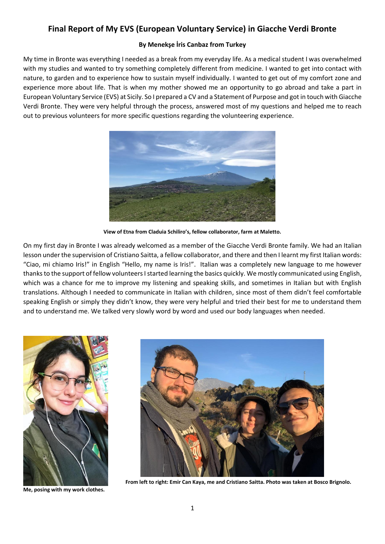## **Final Report of My EVS (European Voluntary Service) in Giacche Verdi Bronte**

## **By Menekşe İris Canbaz from Turkey**

My time in Bronte was everything I needed as a break from my everyday life. As a medical student I was overwhelmed with my studies and wanted to try something completely different from medicine. I wanted to get into contact with nature, to garden and to experience how to sustain myself individually. I wanted to get out of my comfort zone and experience more about life. That is when my mother showed me an opportunity to go abroad and take a part in European Voluntary Service (EVS) at Sicily. So I prepared a CV and a Statement of Purpose and got in touch with Giacche Verdi Bronte. They were very helpful through the process, answered most of my questions and helped me to reach out to previous volunteers for more specific questions regarding the volunteering experience.



**View of Etna from Claduia Schiliro's, fellow collaborator, farm at Maletto.**

On my first day in Bronte I was already welcomed as a member of the Giacche Verdi Bronte family. We had an Italian lesson under the supervision of Cristiano Saitta, a fellow collaborator, and there and then I learnt my first Italian words: "Ciao, mi chiamo Iris!" in English "Hello, my name is Iris!". Italian was a completely new language to me however thanks to the support of fellow volunteers I started learning the basics quickly. We mostly communicated using English, which was a chance for me to improve my listening and speaking skills, and sometimes in Italian but with English translations. Although I needed to communicate in Italian with children, since most of them didn't feel comfortable speaking English or simply they didn't know, they were very helpful and tried their best for me to understand them and to understand me. We talked very slowly word by word and used our body languages when needed.



**Me, posing with my work clothes.**



 **From left to right: Emir Can Kaya, me and Cristiano Saitta. Photo was taken at Bosco Brignolo.**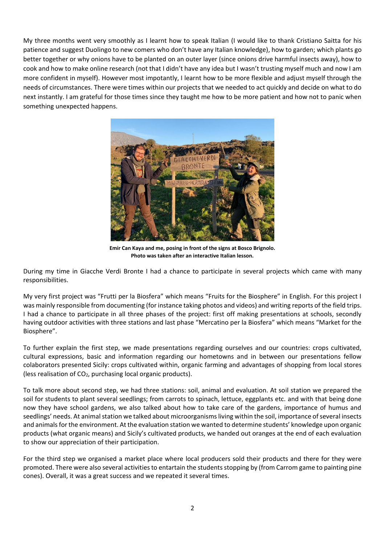My three months went very smoothly as I learnt how to speak Italian (I would like to thank Cristiano Saitta for his patience and suggest Duolingo to new comers who don't have any Italian knowledge), how to garden; which plants go better together or why onions have to be planted on an outer layer (since onions drive harmful insects away), how to cook and how to make online research (not that I didn't have any idea but I wasn't trusting myself much and now I am more confident in myself). However most impotantly, I learnt how to be more flexible and adjust myself through the needs of circumstances. There were times within our projects that we needed to act quickly and decide on what to do next instantly. I am grateful for those times since they taught me how to be more patient and how not to panic when something unexpected happens.



**Emir Can Kaya and me, posing in front of the signs at Bosco Brignolo. Photo was taken after an interactive Italian lesson.**

During my time in Giacche Verdi Bronte I had a chance to participate in several projects which came with many responsibilities.

My very first project was "Frutti per la Biosfera" which means "Fruits for the Biosphere" in English. For this project I was mainly responsible from documenting (for instance taking photos and videos) and writing reports of the field trips. I had a chance to participate in all three phases of the project: first off making presentations at schools, secondly having outdoor activities with three stations and last phase "Mercatino per la Biosfera" which means "Market for the Biosphere".

To further explain the first step, we made presentations regarding ourselves and our countries: crops cultivated, cultural expressions, basic and information regarding our hometowns and in between our presentations fellow colaborators presented Sicily: crops cultivated within, organic farming and advantages of shopping from local stores (less realisation of  $CO<sub>2</sub>$ , purchasing local organic products).

To talk more about second step, we had three stations: soil, animal and evaluation. At soil station we prepared the soil for students to plant several seedlings; from carrots to spinach, lettuce, eggplants etc. and with that being done now they have school gardens, we also talked about how to take care of the gardens, importance of humus and seedlings' needs. At animal station we talked about microorganisms living within the soil, importance of several insects and animals for the environment. At the evaluation station we wanted to determine students' knowledge upon organic products (what organic means) and Sicily's cultivated products, we handed out oranges at the end of each evaluation to show our appreciation of their participation.

For the third step we organised a market place where local producers sold their products and there for they were promoted. There were also several activities to entartain the students stopping by (from Carrom game to painting pine cones). Overall, it was a great success and we repeated it several times.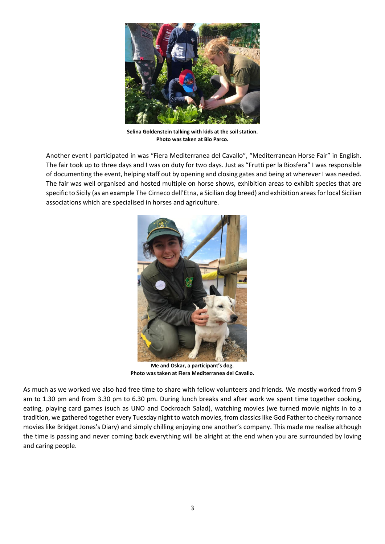

**Selina Goldenstein talking with kids at the soil station. Photo was taken at Bio Parco.**

Another event I participated in was "Fiera Mediterranea del Cavallo", "Mediterranean Horse Fair" in English. The fair took up to three days and I was on duty for two days. Just as "Frutti per la Biosfera" I was responsible of documenting the event, helping staff out by opening and closing gates and being at wherever I was needed. The fair was well organised and hosted multiple on horse shows, exhibition areas to exhibit species that are specific to Sicily (as an example The Cirneco dell'Etna, a Sicilian dog breed) and exhibition areas for local Sicilian associations which are specialised in horses and agriculture.



**Me and Oskar, a participant's dog. Photo was taken at Fiera Mediterranea del Cavallo.**

As much as we worked we also had free time to share with fellow volunteers and friends. We mostly worked from 9 am to 1.30 pm and from 3.30 pm to 6.30 pm. During lunch breaks and after work we spent time together cooking, eating, playing card games (such as UNO and Cockroach Salad), watching movies (we turned movie nights in to a tradition, we gathered together every Tuesday night to watch movies, from classics like God Father to cheeky romance movies like Bridget Jones's Diary) and simply chilling enjoying one another's company. This made me realise although the time is passing and never coming back everything will be alright at the end when you are surrounded by loving and caring people.